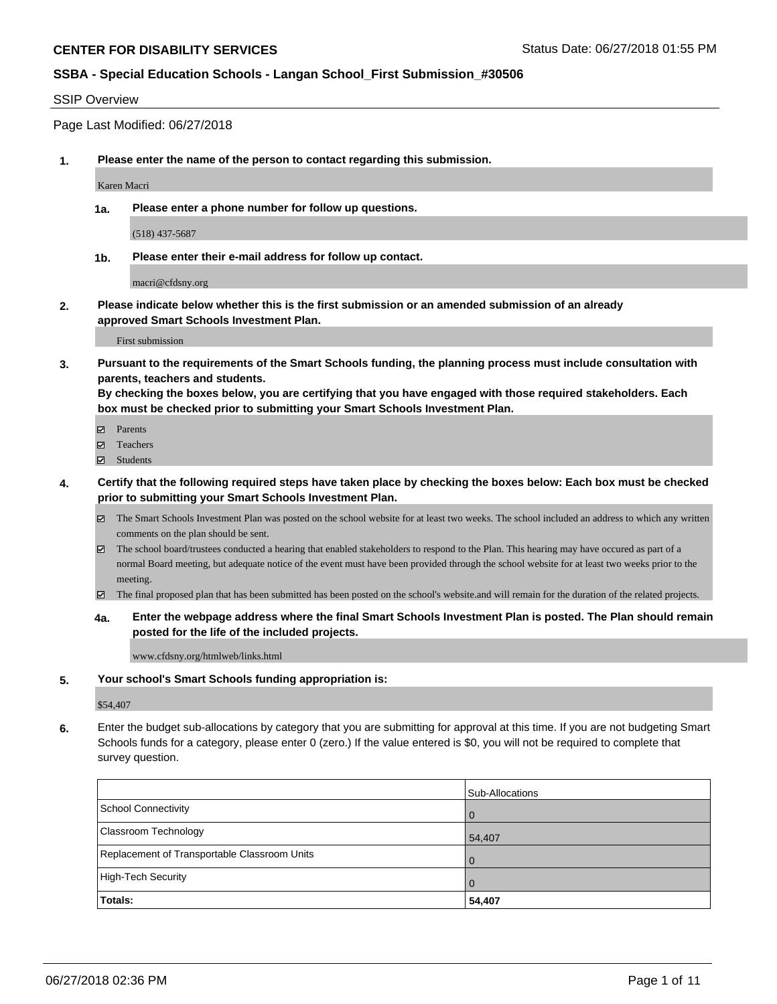#### SSIP Overview

Page Last Modified: 06/27/2018

**1. Please enter the name of the person to contact regarding this submission.**

Karen Macri

**1a. Please enter a phone number for follow up questions.**

(518) 437-5687

**1b. Please enter their e-mail address for follow up contact.**

macri@cfdsny.org

**2. Please indicate below whether this is the first submission or an amended submission of an already approved Smart Schools Investment Plan.**

First submission

**3. Pursuant to the requirements of the Smart Schools funding, the planning process must include consultation with parents, teachers and students.**

**By checking the boxes below, you are certifying that you have engaged with those required stakeholders. Each box must be checked prior to submitting your Smart Schools Investment Plan.**

- $\blacksquare$  Parents
- Teachers
- Students
- **4. Certify that the following required steps have taken place by checking the boxes below: Each box must be checked prior to submitting your Smart Schools Investment Plan.**
	- $\boxtimes$  The Smart Schools Investment Plan was posted on the school website for at least two weeks. The school included an address to which any written comments on the plan should be sent.
	- $\boxtimes$  The school board/trustees conducted a hearing that enabled stakeholders to respond to the Plan. This hearing may have occured as part of a normal Board meeting, but adequate notice of the event must have been provided through the school website for at least two weeks prior to the meeting.
	- The final proposed plan that has been submitted has been posted on the school's website.and will remain for the duration of the related projects.
	- **4a. Enter the webpage address where the final Smart Schools Investment Plan is posted. The Plan should remain posted for the life of the included projects.**

www.cfdsny.org/htmlweb/links.html

#### **5. Your school's Smart Schools funding appropriation is:**

\$54,407

**6.** Enter the budget sub-allocations by category that you are submitting for approval at this time. If you are not budgeting Smart Schools funds for a category, please enter 0 (zero.) If the value entered is \$0, you will not be required to complete that survey question.

|                                              | Sub-Allocations |
|----------------------------------------------|-----------------|
| School Connectivity                          | <b>O</b>        |
| <b>Classroom Technology</b>                  | 54,407          |
| Replacement of Transportable Classroom Units | $\Omega$        |
| High-Tech Security                           | $\overline{0}$  |
| Totals:                                      | 54,407          |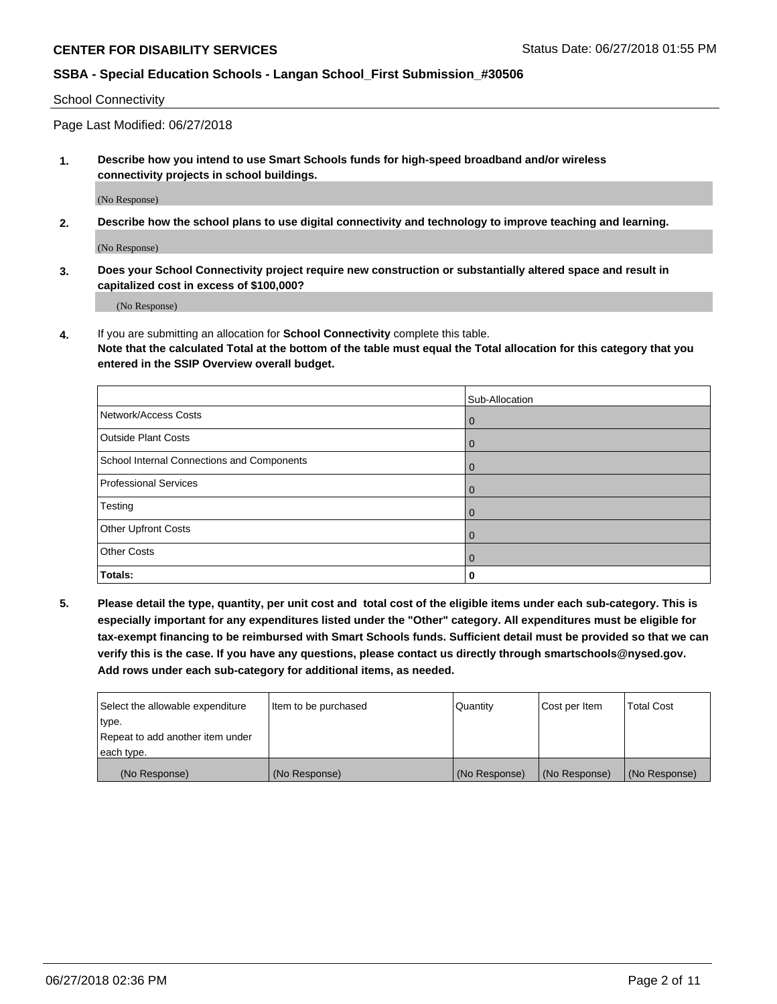School Connectivity

Page Last Modified: 06/27/2018

**1. Describe how you intend to use Smart Schools funds for high-speed broadband and/or wireless connectivity projects in school buildings.**

(No Response)

**2. Describe how the school plans to use digital connectivity and technology to improve teaching and learning.**

(No Response)

**3. Does your School Connectivity project require new construction or substantially altered space and result in capitalized cost in excess of \$100,000?**

(No Response)

**4.** If you are submitting an allocation for **School Connectivity** complete this table.

**Note that the calculated Total at the bottom of the table must equal the Total allocation for this category that you entered in the SSIP Overview overall budget.** 

|                                            | Sub-Allocation |
|--------------------------------------------|----------------|
| Network/Access Costs                       | $\mathbf{0}$   |
| <b>Outside Plant Costs</b>                 | $\overline{0}$ |
| School Internal Connections and Components | $\mathbf{0}$   |
| <b>Professional Services</b>               | $\Omega$       |
| Testing                                    | $\mathbf{0}$   |
| Other Upfront Costs                        | $\Omega$       |
| <b>Other Costs</b>                         | $\Omega$       |
| Totals:                                    | 0              |

**5. Please detail the type, quantity, per unit cost and total cost of the eligible items under each sub-category. This is especially important for any expenditures listed under the "Other" category. All expenditures must be eligible for tax-exempt financing to be reimbursed with Smart Schools funds. Sufficient detail must be provided so that we can verify this is the case. If you have any questions, please contact us directly through smartschools@nysed.gov. Add rows under each sub-category for additional items, as needed.**

| Select the allowable expenditure | Item to be purchased | Quantity      | Cost per Item | <b>Total Cost</b> |
|----------------------------------|----------------------|---------------|---------------|-------------------|
| type.                            |                      |               |               |                   |
| Repeat to add another item under |                      |               |               |                   |
| each type.                       |                      |               |               |                   |
| (No Response)                    | (No Response)        | (No Response) | (No Response) | (No Response)     |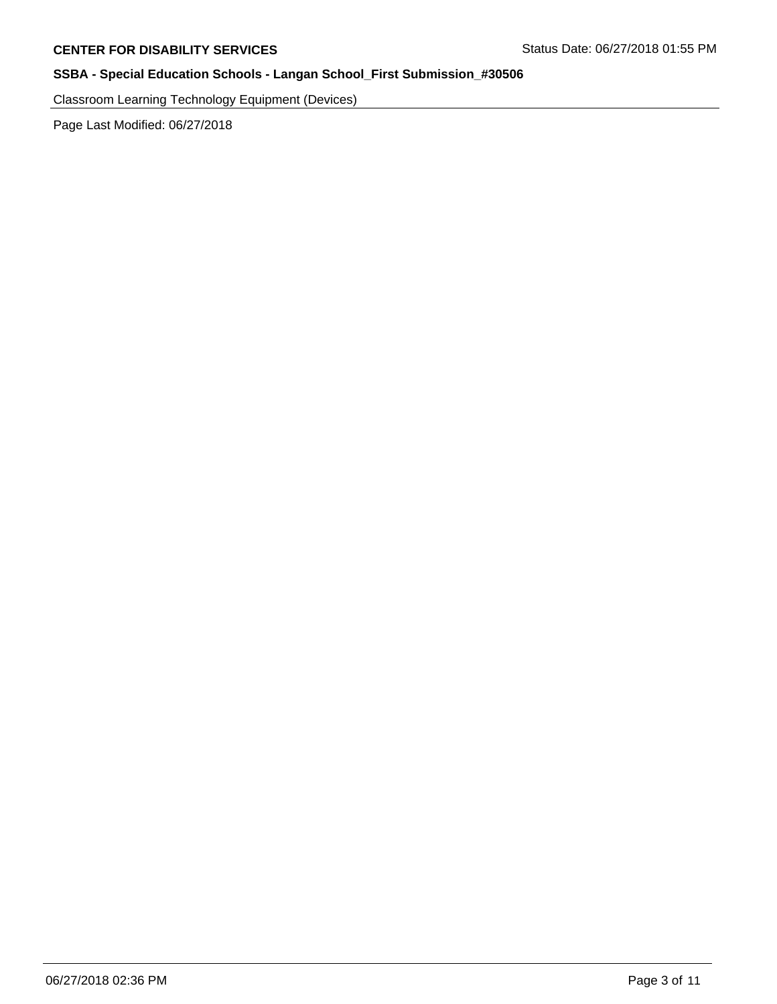Classroom Learning Technology Equipment (Devices)

Page Last Modified: 06/27/2018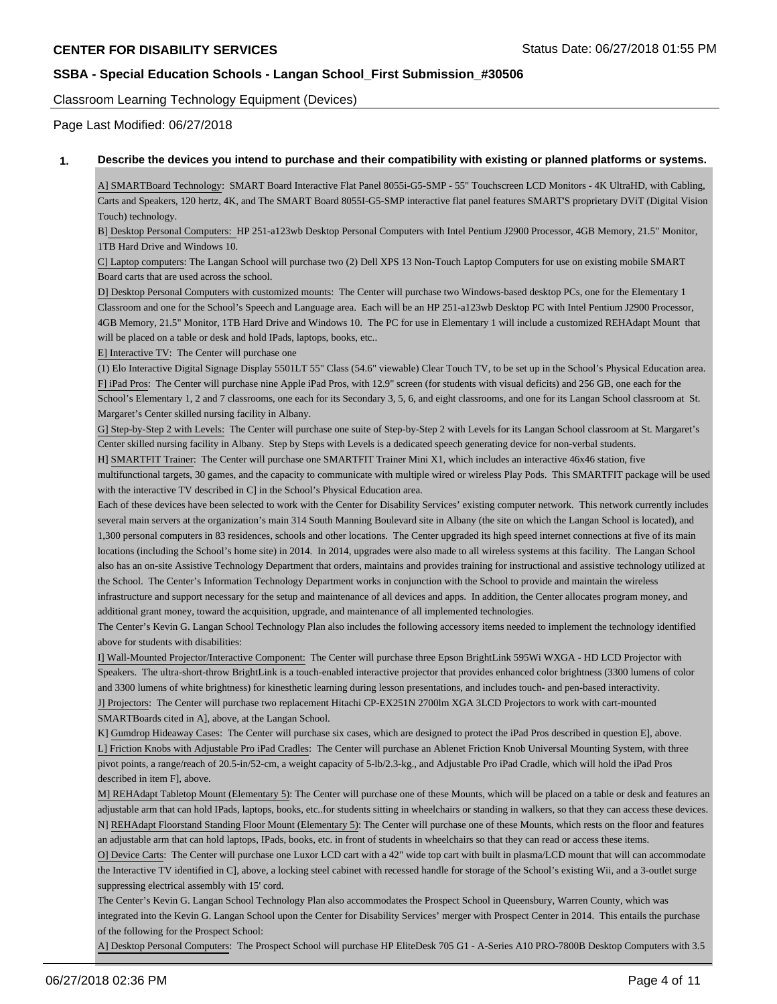Classroom Learning Technology Equipment (Devices)

Page Last Modified: 06/27/2018

#### **1. Describe the devices you intend to purchase and their compatibility with existing or planned platforms or systems.**

A] SMARTBoard Technology: SMART Board Interactive Flat Panel 8055i-G5-SMP - 55" Touchscreen LCD Monitors - 4K UltraHD, with Cabling, Carts and Speakers, 120 hertz, 4K, and The SMART Board 8055I-G5-SMP interactive flat panel features SMART'S proprietary DViT (Digital Vision Touch) technology.

B] Desktop Personal Computers: HP 251-a123wb Desktop Personal Computers with Intel Pentium J2900 Processor, 4GB Memory, 21.5" Monitor, 1TB Hard Drive and Windows 10.

C] Laptop computers: The Langan School will purchase two (2) Dell XPS 13 Non-Touch Laptop Computers for use on existing mobile SMART Board carts that are used across the school.

D] Desktop Personal Computers with customized mounts: The Center will purchase two Windows-based desktop PCs, one for the Elementary 1 Classroom and one for the School's Speech and Language area. Each will be an HP 251-a123wb Desktop PC with Intel Pentium J2900 Processor, 4GB Memory, 21.5" Monitor, 1TB Hard Drive and Windows 10. The PC for use in Elementary 1 will include a customized REHAdapt Mount that will be placed on a table or desk and hold IPads, laptops, books, etc..

E] Interactive TV: The Center will purchase one

(1) Elo Interactive Digital Signage Display 5501LT 55" Class (54.6" viewable) Clear Touch TV, to be set up in the School's Physical Education area. F] iPad Pros: The Center will purchase nine Apple iPad Pros, with 12.9" screen (for students with visual deficits) and 256 GB, one each for the School's Elementary 1, 2 and 7 classrooms, one each for its Secondary 3, 5, 6, and eight classrooms, and one for its Langan School classroom at St. Margaret's Center skilled nursing facility in Albany.

G] Step-by-Step 2 with Levels: The Center will purchase one suite of Step-by-Step 2 with Levels for its Langan School classroom at St. Margaret's Center skilled nursing facility in Albany. Step by Steps with Levels is a dedicated speech generating device for non-verbal students.

H] SMARTFIT Trainer: The Center will purchase one SMARTFIT Trainer Mini X1, which includes an interactive 46x46 station, five multifunctional targets, 30 games, and the capacity to communicate with multiple wired or wireless Play Pods. This SMARTFIT package will be used with the interactive TV described in C] in the School's Physical Education area.

Each of these devices have been selected to work with the Center for Disability Services' existing computer network. This network currently includes several main servers at the organization's main 314 South Manning Boulevard site in Albany (the site on which the Langan School is located), and 1,300 personal computers in 83 residences, schools and other locations. The Center upgraded its high speed internet connections at five of its main locations (including the School's home site) in 2014. In 2014, upgrades were also made to all wireless systems at this facility. The Langan School also has an on-site Assistive Technology Department that orders, maintains and provides training for instructional and assistive technology utilized at the School. The Center's Information Technology Department works in conjunction with the School to provide and maintain the wireless infrastructure and support necessary for the setup and maintenance of all devices and apps. In addition, the Center allocates program money, and additional grant money, toward the acquisition, upgrade, and maintenance of all implemented technologies.

The Center's Kevin G. Langan School Technology Plan also includes the following accessory items needed to implement the technology identified above for students with disabilities:

I] Wall-Mounted Projector/Interactive Component: The Center will purchase three Epson BrightLink 595Wi WXGA - HD LCD Projector with Speakers. The ultra-short-throw BrightLink is a touch-enabled interactive projector that provides enhanced color brightness (3300 lumens of color and 3300 lumens of white brightness) for kinesthetic learning during lesson presentations, and includes touch- and pen-based interactivity. J] Projectors: The Center will purchase two replacement Hitachi CP-EX251N 2700lm XGA 3LCD Projectors to work with cart-mounted SMARTBoards cited in A], above, at the Langan School.

K] Gumdrop Hideaway Cases: The Center will purchase six cases, which are designed to protect the iPad Pros described in question E], above. L] Friction Knobs with Adjustable Pro iPad Cradles: The Center will purchase an Ablenet Friction Knob Universal Mounting System, with three pivot points, a range/reach of 20.5-in/52-cm, a weight capacity of 5-lb/2.3-kg., and Adjustable Pro iPad Cradle, which will hold the iPad Pros described in item F], above.

M] REHAdapt Tabletop Mount (Elementary 5): The Center will purchase one of these Mounts, which will be placed on a table or desk and features an adjustable arm that can hold IPads, laptops, books, etc..for students sitting in wheelchairs or standing in walkers, so that they can access these devices. N] REHAdapt Floorstand Standing Floor Mount (Elementary 5): The Center will purchase one of these Mounts, which rests on the floor and features an adjustable arm that can hold laptops, IPads, books, etc. in front of students in wheelchairs so that they can read or access these items.

O] Device Carts: The Center will purchase one Luxor LCD cart with a 42" wide top cart with built in plasma/LCD mount that will can accommodate the Interactive TV identified in C], above, a locking steel cabinet with recessed handle for storage of the School's existing Wii, and a 3-outlet surge suppressing electrical assembly with 15' cord.

The Center's Kevin G. Langan School Technology Plan also accommodates the Prospect School in Queensbury, Warren County, which was integrated into the Kevin G. Langan School upon the Center for Disability Services' merger with Prospect Center in 2014. This entails the purchase of the following for the Prospect School:

A] Desktop Personal Computers: The Prospect School will purchase HP EliteDesk 705 G1 - A-Series A10 PRO-7800B Desktop Computers with 3.5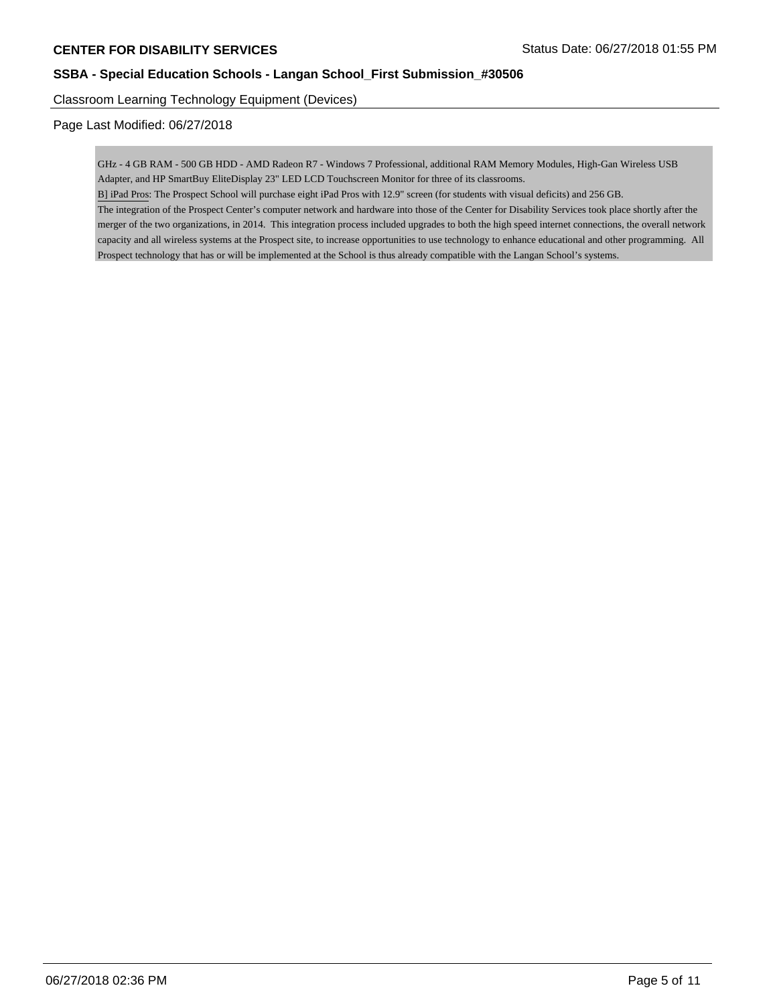Classroom Learning Technology Equipment (Devices)

Page Last Modified: 06/27/2018

GHz - 4 GB RAM - 500 GB HDD - AMD Radeon R7 - Windows 7 Professional, additional RAM Memory Modules, High-Gan Wireless USB Adapter, and HP SmartBuy EliteDisplay 23" LED LCD Touchscreen Monitor for three of its classrooms.

B] iPad Pros: The Prospect School will purchase eight iPad Pros with 12.9" screen (for students with visual deficits) and 256 GB.

The integration of the Prospect Center's computer network and hardware into those of the Center for Disability Services took place shortly after the merger of the two organizations, in 2014. This integration process included upgrades to both the high speed internet connections, the overall network capacity and all wireless systems at the Prospect site, to increase opportunities to use technology to enhance educational and other programming. All Prospect technology that has or will be implemented at the School is thus already compatible with the Langan School's systems.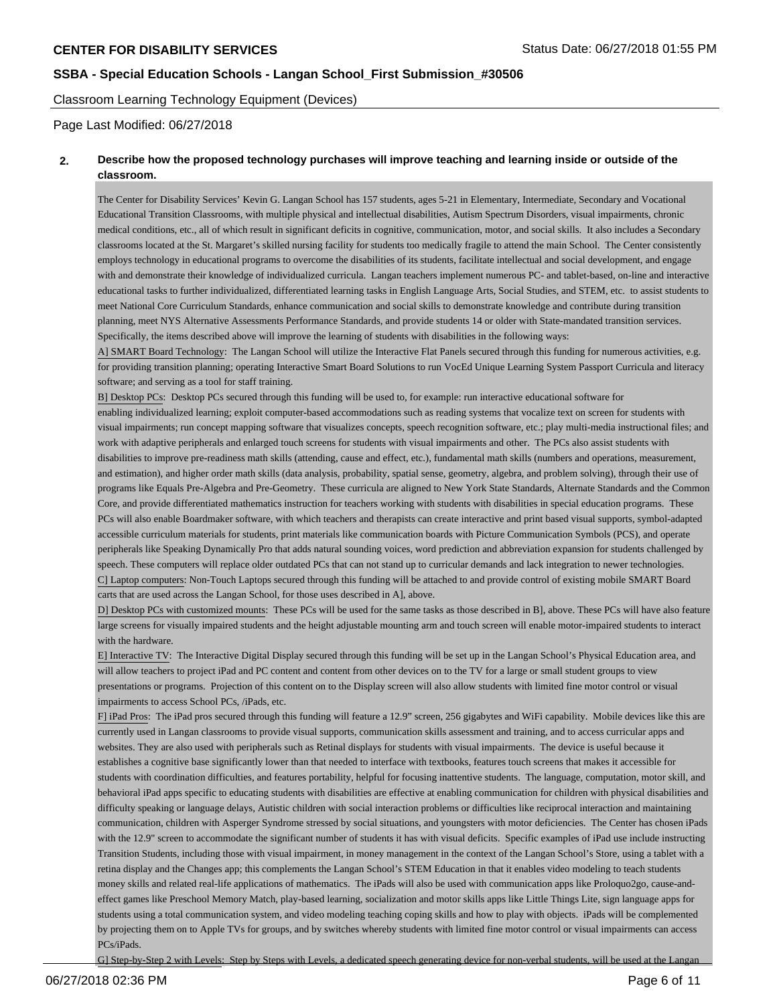Classroom Learning Technology Equipment (Devices)

Page Last Modified: 06/27/2018

### **2. Describe how the proposed technology purchases will improve teaching and learning inside or outside of the classroom.**

The Center for Disability Services' Kevin G. Langan School has 157 students, ages 5-21 in Elementary, Intermediate, Secondary and Vocational Educational Transition Classrooms, with multiple physical and intellectual disabilities, Autism Spectrum Disorders, visual impairments, chronic medical conditions, etc., all of which result in significant deficits in cognitive, communication, motor, and social skills. It also includes a Secondary classrooms located at the St. Margaret's skilled nursing facility for students too medically fragile to attend the main School. The Center consistently employs technology in educational programs to overcome the disabilities of its students, facilitate intellectual and social development, and engage with and demonstrate their knowledge of individualized curricula. Langan teachers implement numerous PC- and tablet-based, on-line and interactive educational tasks to further individualized, differentiated learning tasks in English Language Arts, Social Studies, and STEM, etc. to assist students to meet National Core Curriculum Standards, enhance communication and social skills to demonstrate knowledge and contribute during transition planning, meet NYS Alternative Assessments Performance Standards, and provide students 14 or older with State-mandated transition services. Specifically, the items described above will improve the learning of students with disabilities in the following ways:

A] SMART Board Technology: The Langan School will utilize the Interactive Flat Panels secured through this funding for numerous activities, e.g. for providing transition planning; operating Interactive Smart Board Solutions to run VocEd Unique Learning System Passport Curricula and literacy software; and serving as a tool for staff training.

B] Desktop PCs: Desktop PCs secured through this funding will be used to, for example: run interactive educational software for enabling individualized learning; exploit computer-based accommodations such as reading systems that vocalize text on screen for students with visual impairments; run concept mapping software that visualizes concepts, speech recognition software, etc.; play multi-media instructional files; and work with adaptive peripherals and enlarged touch screens for students with visual impairments and other. The PCs also assist students with disabilities to improve pre-readiness math skills (attending, cause and effect, etc.), fundamental math skills (numbers and operations, measurement, and estimation), and higher order math skills (data analysis, probability, spatial sense, geometry, algebra, and problem solving), through their use of programs like Equals Pre-Algebra and Pre-Geometry. These curricula are aligned to New York State Standards, Alternate Standards and the Common Core, and provide differentiated mathematics instruction for teachers working with students with disabilities in special education programs. These PCs will also enable Boardmaker software, with which teachers and therapists can create interactive and print based visual supports, symbol-adapted accessible curriculum materials for students, print materials like communication boards with Picture Communication Symbols (PCS), and operate peripherals like Speaking Dynamically Pro that adds natural sounding voices, word prediction and abbreviation expansion for students challenged by speech. These computers will replace older outdated PCs that can not stand up to curricular demands and lack integration to newer technologies. C] Laptop computers: Non-Touch Laptops secured through this funding will be attached to and provide control of existing mobile SMART Board carts that are used across the Langan School, for those uses described in A], above.

D] Desktop PCs with customized mounts: These PCs will be used for the same tasks as those described in B], above. These PCs will have also feature large screens for visually impaired students and the height adjustable mounting arm and touch screen will enable motor-impaired students to interact with the hardware.

E] Interactive TV: The Interactive Digital Display secured through this funding will be set up in the Langan School's Physical Education area, and will allow teachers to project iPad and PC content and content from other devices on to the TV for a large or small student groups to view presentations or programs. Projection of this content on to the Display screen will also allow students with limited fine motor control or visual impairments to access School PCs, /iPads, etc.

F] iPad Pros: The iPad pros secured through this funding will feature a 12.9" screen, 256 gigabytes and WiFi capability. Mobile devices like this are currently used in Langan classrooms to provide visual supports, communication skills assessment and training, and to access curricular apps and websites. They are also used with peripherals such as Retinal displays for students with visual impairments. The device is useful because it establishes a cognitive base significantly lower than that needed to interface with textbooks, features touch screens that makes it accessible for students with coordination difficulties, and features portability, helpful for focusing inattentive students. The language, computation, motor skill, and behavioral iPad apps specific to educating students with disabilities are effective at enabling communication for children with physical disabilities and difficulty speaking or language delays, Autistic children with social interaction problems or difficulties like reciprocal interaction and maintaining communication, children with Asperger Syndrome stressed by social situations, and youngsters with motor deficiencies. The Center has chosen iPads with the 12.9" screen to accommodate the significant number of students it has with visual deficits. Specific examples of iPad use include instructing Transition Students, including those with visual impairment, in money management in the context of the Langan School's Store, using a tablet with a retina display and the Changes app; this complements the Langan School's STEM Education in that it enables video modeling to teach students money skills and related real-life applications of mathematics. The iPads will also be used with communication apps like Proloquo2go, cause-andeffect games like Preschool Memory Match, play-based learning, socialization and motor skills apps like Little Things Lite, sign language apps for students using a total communication system, and video modeling teaching coping skills and how to play with objects. iPads will be complemented by projecting them on to Apple TVs for groups, and by switches whereby students with limited fine motor control or visual impairments can access PCs/iPads.

G] Step-by-Step 2 with Levels: Step by Steps with Levels, a dedicated speech generating device for non-verbal students, will be used at the Langan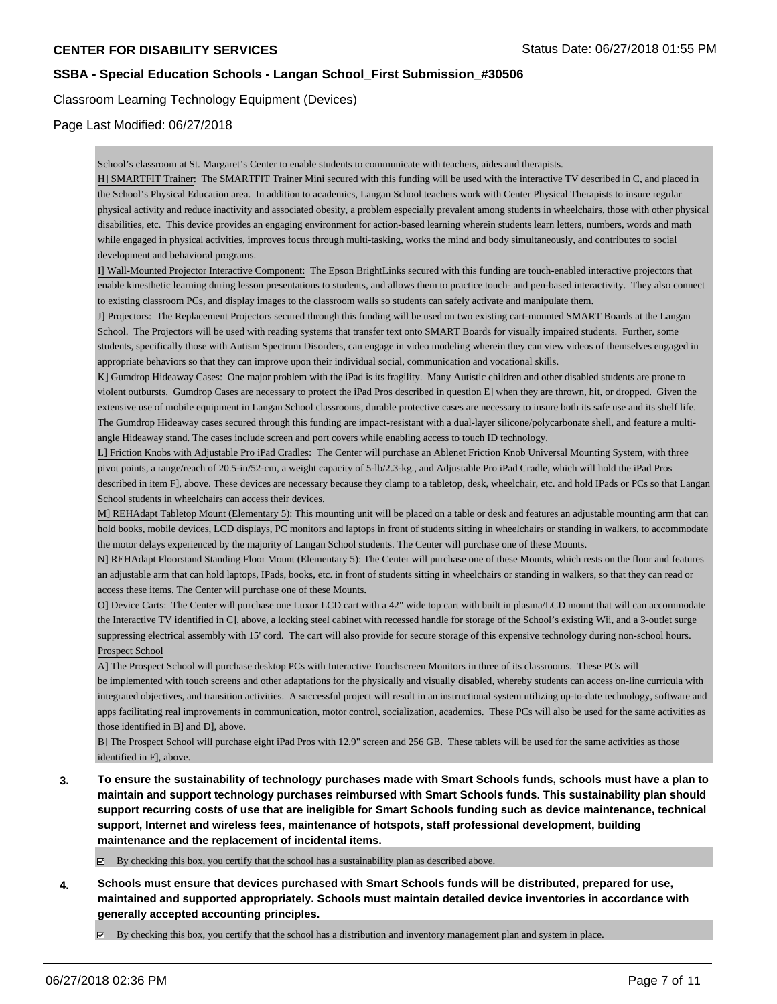### Classroom Learning Technology Equipment (Devices)

Page Last Modified: 06/27/2018

School's classroom at St. Margaret's Center to enable students to communicate with teachers, aides and therapists.

H] SMARTFIT Trainer: The SMARTFIT Trainer Mini secured with this funding will be used with the interactive TV described in C, and placed in the School's Physical Education area. In addition to academics, Langan School teachers work with Center Physical Therapists to insure regular physical activity and reduce inactivity and associated obesity, a problem especially prevalent among students in wheelchairs, those with other physical disabilities, etc. This device provides an engaging environment for action-based learning wherein students learn letters, numbers, words and math while engaged in physical activities, improves focus through multi-tasking, works the mind and body simultaneously, and contributes to social development and behavioral programs.

I] Wall-Mounted Projector Interactive Component: The Epson BrightLinks secured with this funding are touch-enabled interactive projectors that enable kinesthetic learning during lesson presentations to students, and allows them to practice touch- and pen-based interactivity. They also connect to existing classroom PCs, and display images to the classroom walls so students can safely activate and manipulate them.

J] Projectors: The Replacement Projectors secured through this funding will be used on two existing cart-mounted SMART Boards at the Langan School. The Projectors will be used with reading systems that transfer text onto SMART Boards for visually impaired students. Further, some students, specifically those with Autism Spectrum Disorders, can engage in video modeling wherein they can view videos of themselves engaged in appropriate behaviors so that they can improve upon their individual social, communication and vocational skills.

K] Gumdrop Hideaway Cases: One major problem with the iPad is its fragility. Many Autistic children and other disabled students are prone to violent outbursts. Gumdrop Cases are necessary to protect the iPad Pros described in question E] when they are thrown, hit, or dropped. Given the extensive use of mobile equipment in Langan School classrooms, durable protective cases are necessary to insure both its safe use and its shelf life. The Gumdrop Hideaway cases secured through this funding are impact-resistant with a dual-layer silicone/polycarbonate shell, and feature a multiangle Hideaway stand. The cases include screen and port covers while enabling access to touch ID technology.

L] Friction Knobs with Adjustable Pro iPad Cradles: The Center will purchase an Ablenet Friction Knob Universal Mounting System, with three pivot points, a range/reach of 20.5-in/52-cm, a weight capacity of 5-lb/2.3-kg., and Adjustable Pro iPad Cradle, which will hold the iPad Pros described in item F], above. These devices are necessary because they clamp to a tabletop, desk, wheelchair, etc. and hold IPads or PCs so that Langan School students in wheelchairs can access their devices.

M] REHAdapt Tabletop Mount (Elementary 5): This mounting unit will be placed on a table or desk and features an adjustable mounting arm that can hold books, mobile devices, LCD displays, PC monitors and laptops in front of students sitting in wheelchairs or standing in walkers, to accommodate the motor delays experienced by the majority of Langan School students. The Center will purchase one of these Mounts.

N] REHAdapt Floorstand Standing Floor Mount (Elementary 5): The Center will purchase one of these Mounts, which rests on the floor and features an adjustable arm that can hold laptops, IPads, books, etc. in front of students sitting in wheelchairs or standing in walkers, so that they can read or access these items. The Center will purchase one of these Mounts.

O] Device Carts: The Center will purchase one Luxor LCD cart with a 42" wide top cart with built in plasma/LCD mount that will can accommodate the Interactive TV identified in C], above, a locking steel cabinet with recessed handle for storage of the School's existing Wii, and a 3-outlet surge suppressing electrical assembly with 15' cord. The cart will also provide for secure storage of this expensive technology during non-school hours. Prospect School

A] The Prospect School will purchase desktop PCs with Interactive Touchscreen Monitors in three of its classrooms. These PCs will be implemented with touch screens and other adaptations for the physically and visually disabled, whereby students can access on-line curricula with integrated objectives, and transition activities. A successful project will result in an instructional system utilizing up-to-date technology, software and apps facilitating real improvements in communication, motor control, socialization, academics. These PCs will also be used for the same activities as those identified in B] and D], above.

B] The Prospect School will purchase eight iPad Pros with 12.9" screen and 256 GB. These tablets will be used for the same activities as those identified in F], above.

**3. To ensure the sustainability of technology purchases made with Smart Schools funds, schools must have a plan to maintain and support technology purchases reimbursed with Smart Schools funds. This sustainability plan should support recurring costs of use that are ineligible for Smart Schools funding such as device maintenance, technical support, Internet and wireless fees, maintenance of hotspots, staff professional development, building maintenance and the replacement of incidental items.**

 $\boxtimes$  By checking this box, you certify that the school has a sustainability plan as described above.

**4. Schools must ensure that devices purchased with Smart Schools funds will be distributed, prepared for use, maintained and supported appropriately. Schools must maintain detailed device inventories in accordance with generally accepted accounting principles.**

By checking this box, you certify that the school has a distribution and inventory management plan and system in place.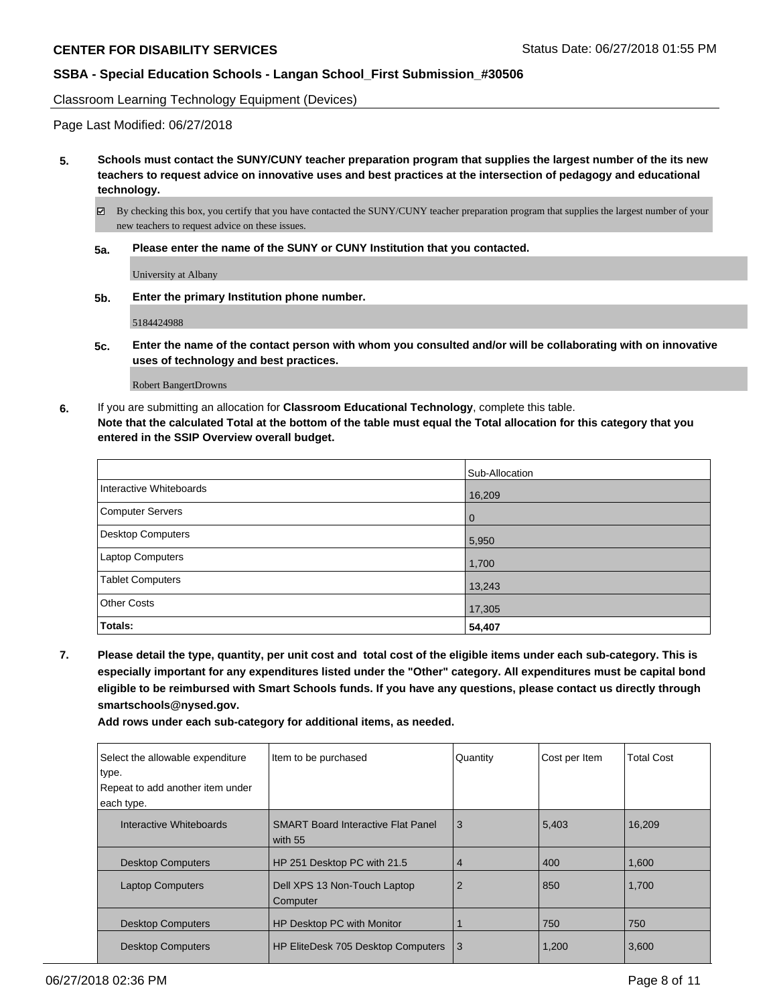Classroom Learning Technology Equipment (Devices)

Page Last Modified: 06/27/2018

- **5. Schools must contact the SUNY/CUNY teacher preparation program that supplies the largest number of the its new teachers to request advice on innovative uses and best practices at the intersection of pedagogy and educational technology.**
	- $\boxtimes$  By checking this box, you certify that you have contacted the SUNY/CUNY teacher preparation program that supplies the largest number of your new teachers to request advice on these issues.
	- **5a. Please enter the name of the SUNY or CUNY Institution that you contacted.**

University at Albany

**5b. Enter the primary Institution phone number.**

5184424988

**5c. Enter the name of the contact person with whom you consulted and/or will be collaborating with on innovative uses of technology and best practices.**

Robert Bangert Drowns

**6.** If you are submitting an allocation for **Classroom Educational Technology**, complete this table. **Note that the calculated Total at the bottom of the table must equal the Total allocation for this category that you entered in the SSIP Overview overall budget.**

|                          | Sub-Allocation |
|--------------------------|----------------|
| Interactive Whiteboards  | 16,209         |
| <b>Computer Servers</b>  | $\overline{0}$ |
| <b>Desktop Computers</b> | 5,950          |
| Laptop Computers         | 1,700          |
| <b>Tablet Computers</b>  | 13,243         |
| <b>Other Costs</b>       | 17,305         |
| Totals:                  | 54,407         |

**7. Please detail the type, quantity, per unit cost and total cost of the eligible items under each sub-category. This is especially important for any expenditures listed under the "Other" category. All expenditures must be capital bond eligible to be reimbursed with Smart Schools funds. If you have any questions, please contact us directly through smartschools@nysed.gov.**

**Add rows under each sub-category for additional items, as needed.**

| Select the allowable expenditure<br>type. | Item to be purchased                                 | Quantity | Cost per Item | <b>Total Cost</b> |
|-------------------------------------------|------------------------------------------------------|----------|---------------|-------------------|
| Repeat to add another item under          |                                                      |          |               |                   |
| each type.                                |                                                      |          |               |                   |
| Interactive Whiteboards                   | <b>SMART Board Interactive Flat Panel</b><br>with 55 | 3        | 5,403         | 16,209            |
| <b>Desktop Computers</b>                  | HP 251 Desktop PC with 21.5                          | 4        | 400           | 1,600             |
| <b>Laptop Computers</b>                   | Dell XPS 13 Non-Touch Laptop<br>Computer             | 2        | 850           | 1,700             |
| <b>Desktop Computers</b>                  | HP Desktop PC with Monitor                           |          | 750           | 750               |
| <b>Desktop Computers</b>                  | HP EliteDesk 705 Desktop Computers                   | 3        | 1,200         | 3,600             |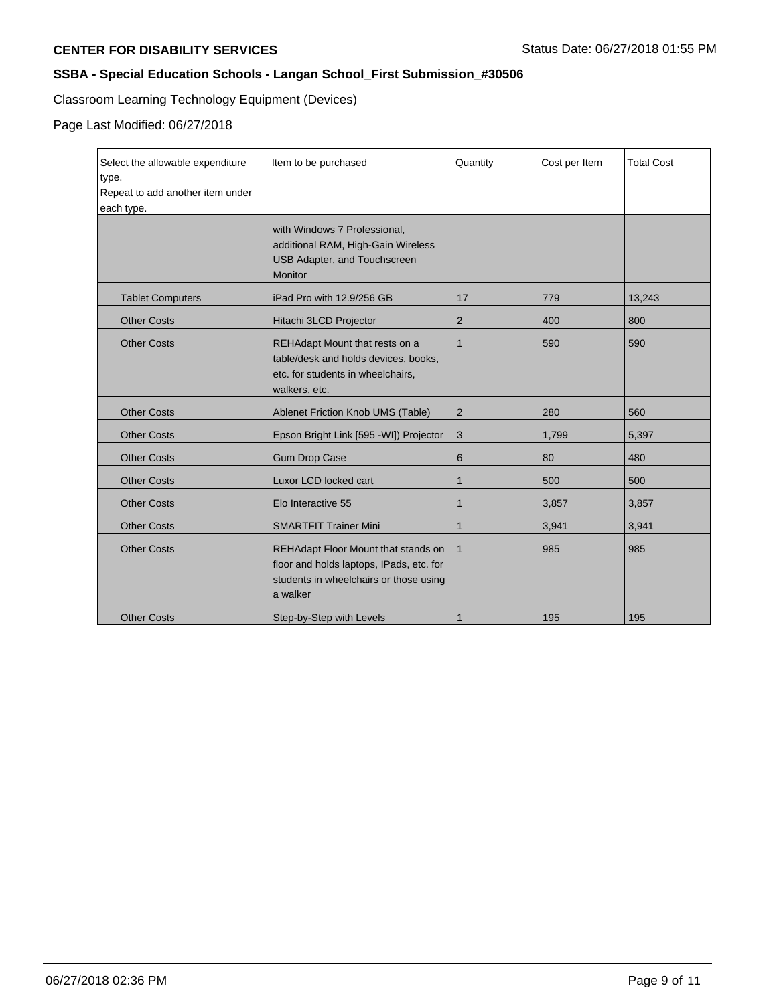Classroom Learning Technology Equipment (Devices)

Page Last Modified: 06/27/2018

| Select the allowable expenditure<br>type. | Item to be purchased                                                                                                                  | Quantity       | Cost per Item | <b>Total Cost</b> |
|-------------------------------------------|---------------------------------------------------------------------------------------------------------------------------------------|----------------|---------------|-------------------|
| Repeat to add another item under          |                                                                                                                                       |                |               |                   |
| each type.                                |                                                                                                                                       |                |               |                   |
|                                           | with Windows 7 Professional,<br>additional RAM, High-Gain Wireless<br>USB Adapter, and Touchscreen<br><b>Monitor</b>                  |                |               |                   |
| <b>Tablet Computers</b>                   | iPad Pro with 12.9/256 GB                                                                                                             | 17             | 779           | 13,243            |
| <b>Other Costs</b>                        | Hitachi 3LCD Projector                                                                                                                | $\overline{2}$ | 400           | 800               |
| <b>Other Costs</b>                        | REHAdapt Mount that rests on a<br>table/desk and holds devices, books,<br>etc. for students in wheelchairs,<br>walkers, etc.          | $\mathbf{1}$   | 590           | 590               |
| <b>Other Costs</b>                        | Ablenet Friction Knob UMS (Table)                                                                                                     | $\overline{2}$ | 280           | 560               |
| <b>Other Costs</b>                        | Epson Bright Link [595 - WI]) Projector                                                                                               | 3              | 1,799         | 5,397             |
| <b>Other Costs</b>                        | <b>Gum Drop Case</b>                                                                                                                  | 6              | 80            | 480               |
| <b>Other Costs</b>                        | Luxor LCD locked cart                                                                                                                 | $\mathbf{1}$   | 500           | 500               |
| <b>Other Costs</b>                        | Elo Interactive 55                                                                                                                    | $\mathbf{1}$   | 3,857         | 3,857             |
| <b>Other Costs</b>                        | <b>SMARTFIT Trainer Mini</b>                                                                                                          | 1              | 3,941         | 3,941             |
| <b>Other Costs</b>                        | REHAdapt Floor Mount that stands on<br>floor and holds laptops, IPads, etc. for<br>students in wheelchairs or those using<br>a walker | $\mathbf 1$    | 985           | 985               |
| <b>Other Costs</b>                        | Step-by-Step with Levels                                                                                                              |                | 195           | 195               |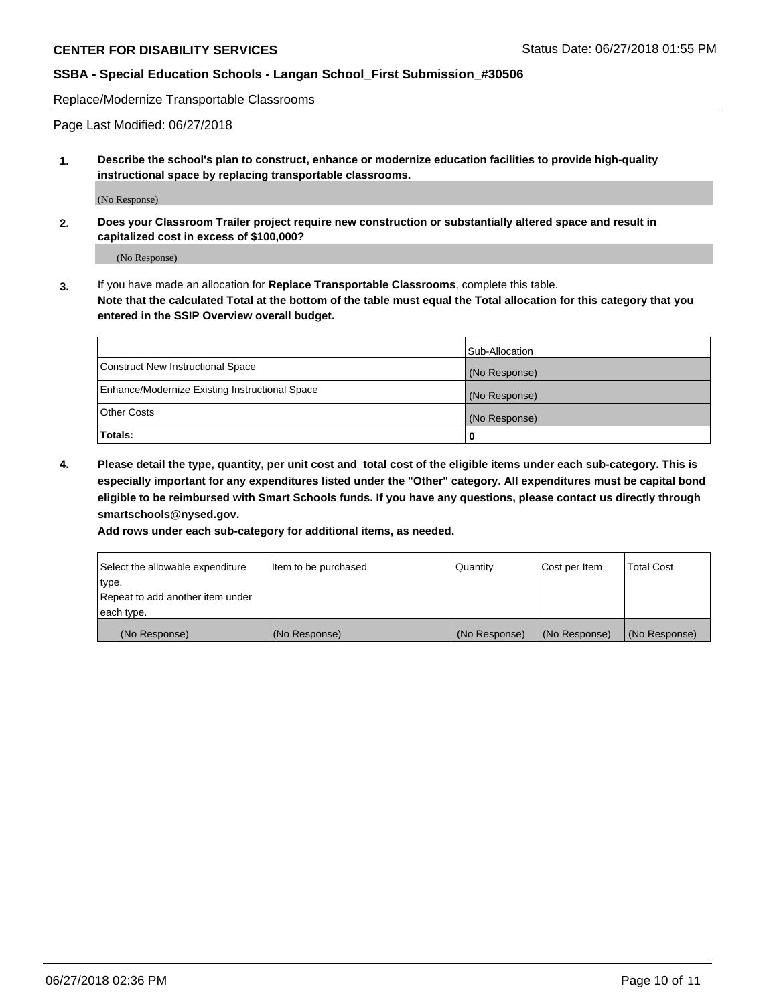Replace/Modernize Transportable Classrooms

Page Last Modified: 06/27/2018

**1. Describe the school's plan to construct, enhance or modernize education facilities to provide high-quality instructional space by replacing transportable classrooms.**

(No Response)

**2. Does your Classroom Trailer project require new construction or substantially altered space and result in capitalized cost in excess of \$100,000?**

(No Response)

**3.** If you have made an allocation for **Replace Transportable Classrooms**, complete this table. **Note that the calculated Total at the bottom of the table must equal the Total allocation for this category that you entered in the SSIP Overview overall budget.**

|                                                | Sub-Allocation |
|------------------------------------------------|----------------|
| Construct New Instructional Space              | (No Response)  |
| Enhance/Modernize Existing Instructional Space | (No Response)  |
| Other Costs                                    | (No Response)  |
| Totals:                                        | 0              |

**4. Please detail the type, quantity, per unit cost and total cost of the eligible items under each sub-category. This is especially important for any expenditures listed under the "Other" category. All expenditures must be capital bond eligible to be reimbursed with Smart Schools funds. If you have any questions, please contact us directly through smartschools@nysed.gov.**

**Add rows under each sub-category for additional items, as needed.**

| Select the allowable expenditure | Item to be purchased | Quantity      | Cost per Item | <b>Total Cost</b> |
|----------------------------------|----------------------|---------------|---------------|-------------------|
| type.                            |                      |               |               |                   |
| Repeat to add another item under |                      |               |               |                   |
| each type.                       |                      |               |               |                   |
| (No Response)                    | (No Response)        | (No Response) | (No Response) | (No Response)     |